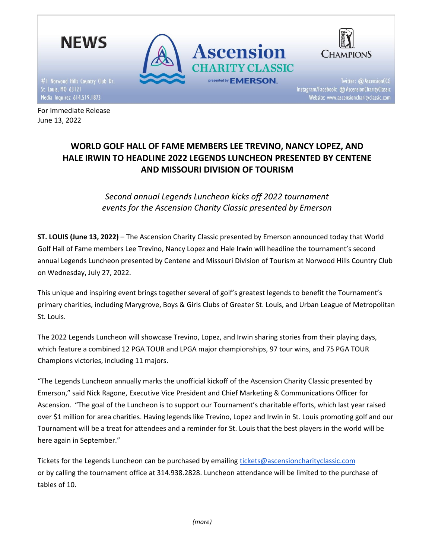

Media Inquires: 614.519.1873 For Immediate Release

June 13, 2022

Website: www.ascensioncharityclassic.com

## **WORLD GOLF HALL OF FAME MEMBERS LEE TREVINO, NANCY LOPEZ, AND HALE IRWIN TO HEADLINE 2022 LEGENDS LUNCHEON PRESENTED BY CENTENE AND MISSOURI DIVISION OF TOURISM**

*Second annual Legends Luncheon kicks off 2022 tournament events for the Ascension Charity Classic presented by Emerson*

**ST. LOUIS (June 13, 2022)** – The Ascension Charity Classic presented by Emerson announced today that World Golf Hall of Fame members Lee Trevino, Nancy Lopez and Hale Irwin will headline the tournament's second annual Legends Luncheon presented by Centene and Missouri Division of Tourism at Norwood Hills Country Club on Wednesday, July 27, 2022.

This unique and inspiring event brings together several of golf's greatest legends to benefit the Tournament's primary charities, including Marygrove, Boys & Girls Clubs of Greater St. Louis, and Urban League of Metropolitan St. Louis.

The 2022 Legends Luncheon will showcase Trevino, Lopez, and Irwin sharing stories from their playing days, which feature a combined 12 PGA TOUR and LPGA major championships, 97 tour wins, and 75 PGA TOUR Champions victories, including 11 majors.

"The Legends Luncheon annually marks the unofficial kickoff of the Ascension Charity Classic presented by Emerson," said Nick Ragone, Executive Vice President and Chief Marketing & Communications Officer for Ascension. "The goal of the Luncheon is to support our Tournament's charitable efforts, which last year raised over \$1 million for area charities. Having legends like Trevino, Lopez and Irwin in St. Louis promoting golf and our Tournament will be a treat for attendees and a reminder for St. Louis that the best players in the world will be here again in September."

Tickets for the Legends Luncheon can be purchased by emailin[g tickets@ascensioncharityclassic.com](mailto:tickets@ascensioncharityclassic.com) or by calling the tournament office at 314.938.2828. Luncheon attendance will be limited to the purchase of tables of 10.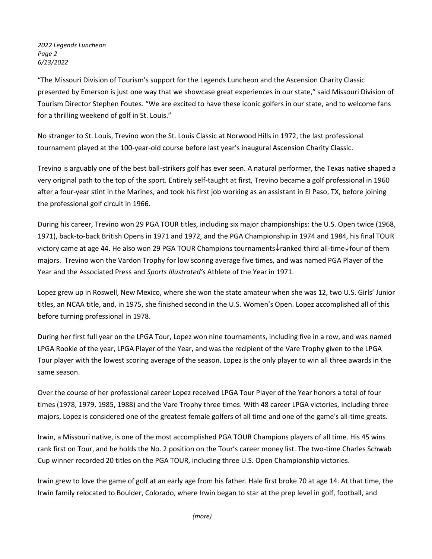*2022 Legends Luncheon Page 2 6/13/2022*

"The Missouri Division of Tourism's support for the Legends Luncheon and the Ascension Charity Classic presented by Emerson is just one way that we showcase great experiences in our state," said Missouri Division of Tourism Director Stephen Foutes. "We are excited to have these iconic golfers in our state, and to welcome fans for a thrilling weekend of golf in St. Louis."

No stranger to St. Louis, Trevino won the St. Louis Classic at Norwood Hills in 1972, the last professional tournament played at the 100-year-old course before last year's inaugural Ascension Charity Classic.

Trevino is arguably one of the best ball-strikers golf has ever seen. A natural performer, the Texas native shaped a very original path to the top of the sport. Entirely self-taught at first, Trevino became a golf professional in 1960 after a four-year stint in the Marines, and took his first job working as an assistant in El Paso, TX, before joining the professional golf circuit in 1966.

During his career, Trevino won 29 PGA TOUR titles, including six major championships: the U.S. Open twice (1968, 1971), back-to-back British Opens in 1971 and 1972, and the PGA Championship in 1974 and 1984, his final TOUR victory came at age 44. He also won 29 PGA TOUR Champions tournaments $\downarrow$ ranked third all-time $\downarrow$ four of them majors. Trevino won the Vardon Trophy for low scoring average five times, and was named PGA Player of the Year and the Associated Press and *Sports Illustrated's* Athlete of the Year in 1971.

Lopez grew up in Roswell, New Mexico, where she won the state amateur when she was 12, two U.S. Girls' Junior titles, an NCAA title, and, in 1975, she finished second in the U.S. Women's Open. Lopez accomplished all of this before turning professional in 1978.

During her first full year on the LPGA Tour, Lopez won nine tournaments, including five in a row, and was named LPGA Rookie of the year, LPGA Player of the Year, and was the recipient of the Vare Trophy given to the LPGA Tour player with the lowest scoring average of the season. Lopez is the only player to win all three awards in the same season.

Over the course of her professional career Lopez received LPGA Tour Player of the Year honors a total of four times (1978, 1979, 1985, 1988) and the Vare Trophy three times. With 48 career LPGA victories, including three majors, Lopez is considered one of the greatest female golfers of all time and one of the game's all-time greats.

Irwin, a Missouri native, is one of the most accomplished PGA TOUR Champions players of all time. His 45 wins rank first on Tour, and he holds the No. 2 position on the Tour's career money list. The two-time Charles Schwab Cup winner recorded 20 titles on the PGA TOUR, including three U.S. Open Championship victories.

Irwin grew to love the game of golf at an early age from his father. Hale first broke 70 at age 14. At that time, the Irwin family relocated to Boulder, Colorado, where Irwin began to star at the prep level in golf, football, and